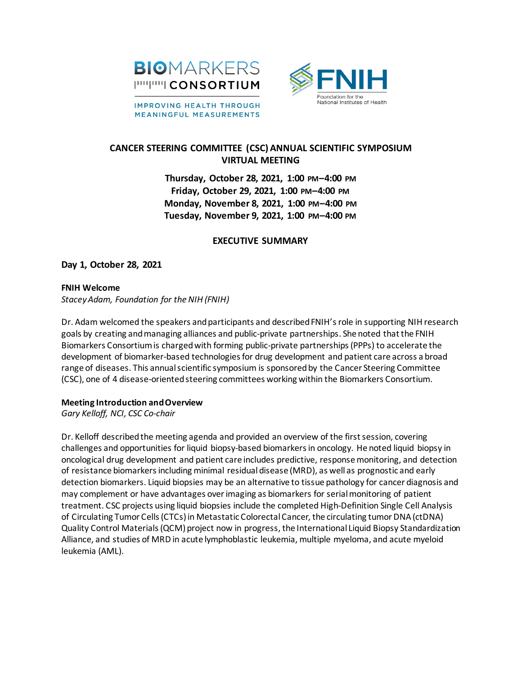

**IMPROVING HEALTH THROUGH MEANINGFUL MEASUREMENTS** 



# **CANCER STEERING COMMITTEE (CSC) ANNUAL SCIENTIFIC SYMPOSIUM VIRTUAL MEETING**

**Thursday, October 28, 2021, 1:00 PM–4:00 PM Friday, October 29, 2021, 1:00 PM–4:00 PM Monday, November 8, 2021, 1:00 PM–4:00 PM Tuesday, November 9, 2021, 1:00 PM–4:00 PM**

# **EXECUTIVE SUMMARY**

**Day 1, October 28, 2021**

### **FNIH Welcome**

*Stacey Adam, Foundation for the NIH (FNIH)*

Dr. Adam welcomed the speakers and participants and described FNIH's role in supporting NIH research goals by creating and managing alliances and public-private partnerships. She noted that the FNIH Biomarkers Consortium is charged with forming public-private partnerships(PPPs) to accelerate the development of biomarker-based technologies for drug development and patient care across a broad range of diseases. This annual scientific symposium is sponsored by the Cancer Steering Committee (CSC), one of 4 disease-oriented steering committees working within the Biomarkers Consortium.

#### **Meeting Introduction and Overview**

*Gary Kelloff, NCI, CSC Co-chair*

Dr. Kelloff described the meeting agenda and provided an overview of the first session, covering challenges and opportunities for liquid biopsy-based biomarkersin oncology. He noted liquid biopsy in oncological drug development and patient care includes predictive, response monitoring, and detection of resistance biomarkersincluding minimal residual disease (MRD), as well as prognostic and early detection biomarkers. Liquid biopsies may be an alternative to tissue pathology for cancer diagnosis and may complement or have advantages overimaging as biomarkers for serial monitoring of patient treatment. CSC projects using liquid biopsies include the completed High-Definition Single Cell Analysis of Circulating Tumor Cells (CTCs) in Metastatic Colorectal Cancer, the circulating tumor DNA (ctDNA) Quality Control Materials (QCM) project now in progress, the International Liquid Biopsy Standardization Alliance, and studies of MRD in acute lymphoblastic leukemia, multiple myeloma, and acute myeloid leukemia (AML).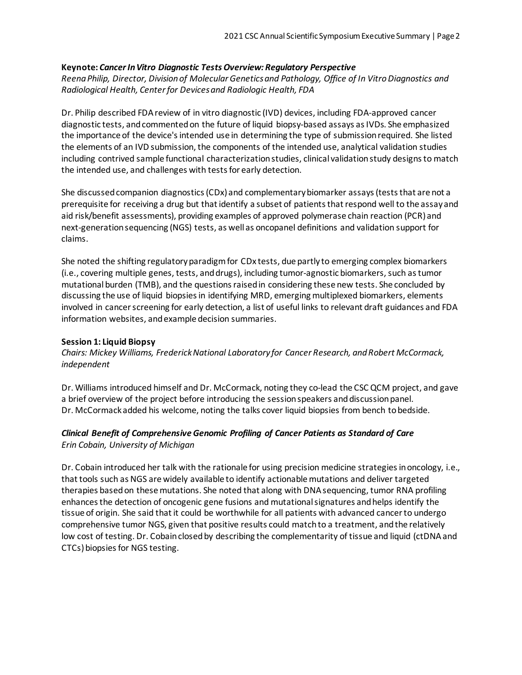#### **Keynote:** *Cancer In Vitro Diagnostic Tests Overview: Regulatory Perspective*

*Reena Philip, Director, Division of Molecular Genetics and Pathology, Office of In Vitro Diagnostics and Radiological Health, Center for Devices and Radiologic Health, FDA*

Dr. Philip described FDA review of in vitro diagnostic (IVD) devices, including FDA-approved cancer diagnostic tests, and commentedon the future of liquid biopsy-based assays as IVDs. She emphasized the importance of the device's intended use in determining the type of submissionrequired. She listed the elements of an IVD submission, the components of the intended use, analytical validation studies including contrived sample functional characterization studies, clinical validation study designs to match the intended use, and challenges with tests for early detection.

She discussed companion diagnostics (CDx) and complementarybiomarker assays(tests that are not a prerequisite for receiving a drug but that identify a subset of patients that respond well to the assay and aid risk/benefit assessments), providing examples of approved polymerase chain reaction (PCR) and next-generation sequencing (NGS) tests, as well as oncopanel definitions and validation support for claims.

She noted the shifting regulatory paradigm for CDx tests, due partly to emerging complex biomarkers (i.e., covering multiple genes, tests, and drugs), including tumor-agnostic biomarkers, such as tumor mutational burden (TMB), and the questions raised in considering these new tests. She concluded by discussing the use of liquid biopsiesin identifying MRD, emerging multiplexed biomarkers, elements involved in cancer screening for early detection, a list of useful links to relevant draft guidances and FDA information websites, and example decision summaries.

#### **Session 1: Liquid Biopsy**

*Chairs: Mickey Williams, Frederick National Laboratory for Cancer Research, and Robert McCormack, independent*

Dr. Williams introduced himself and Dr. McCormack, noting they co-lead the CSC QCM project, and gave a brief overview of the project before introducing the session speakers and discussion panel. Dr. McCormack added his welcome, noting the talks cover liquid biopsies from bench to bedside.

#### *Clinical Benefit of Comprehensive Genomic Profiling of Cancer Patients as Standard of Care Erin Cobain, University of Michigan*

Dr. Cobain introduced her talk with the rationale for using precision medicine strategies in oncology, i.e., that tools such as NGS are widely available to identify actionable mutations and deliver targeted therapies based on these mutations. She noted that along with DNA sequencing, tumor RNA profiling enhances the detection of oncogenic gene fusions and mutational signatures and helps identify the tissue of origin. She said that it could be worthwhile for all patients with advanced cancer to undergo comprehensive tumor NGS, given that positive results could match to a treatment, and the relatively low cost of testing. Dr. Cobain closed by describing the complementarity of tissue and liquid (ctDNA and CTCs) biopsies for NGS testing.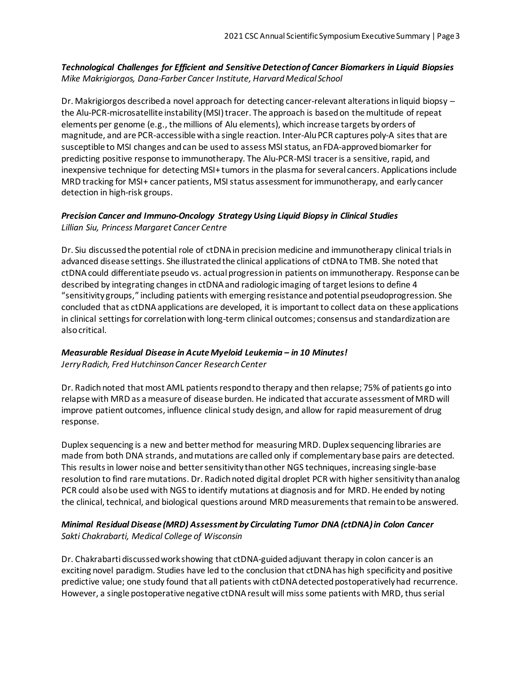# *Technological Challenges for Efficient and Sensitive Detection of Cancer Biomarkers in Liquid Biopsies Mike Makrigiorgos, Dana-Farber Cancer Institute, Harvard Medical School*

Dr. Makrigiorgos described a novel approach for detecting cancer-relevant alterations in liquid biopsy the Alu-PCR-microsatellite instability (MSI) tracer. The approach is based on the multitude of repeat elements per genome (e.g., the millions of Alu elements), which increase targets by orders of magnitude, and are PCR-accessible with a single reaction. Inter-Alu PCR captures poly-A sites that are susceptible to MSI changes and can be used to assess MSI status, an FDA-approved biomarker for predicting positive response to immunotherapy. The Alu-PCR-MSI tracer is a sensitive, rapid, and inexpensive technique for detecting MSI+ tumors in the plasma for several cancers. Applications include MRD tracking for MSI+ cancer patients, MSI status assessment for immunotherapy, and early cancer detection in high-risk groups.

# *Precision Cancer and Immuno-Oncology Strategy Using Liquid Biopsy in Clinical Studies Lillian Siu, Princess Margaret Cancer Centre*

Dr. Siu discussed the potential role of ctDNA in precision medicine and immunotherapy clinical trials in advanced disease settings. She illustrated the clinical applications of ctDNA to TMB. She noted that ctDNA could differentiate pseudo vs. actual progression in patients on immunotherapy. Response can be described by integrating changes in ctDNA and radiologic imaging of target lesions to define 4 "sensitivity groups," including patients with emerging resistance and potential pseudoprogression. She concluded that as ctDNA applications are developed, it is important to collect data on these applications in clinical settings for correlation with long-term clinical outcomes; consensus and standardization are also critical.

### *Measurable Residual Disease in Acute Myeloid Leukemia – in 10 Minutes! Jerry Radich, Fred Hutchinson Cancer Research Center*

Dr. Radich noted that most AML patients respond to therapy and then relapse; 75% of patients go into relapse with MRD as a measure of disease burden. He indicated that accurate assessment of MRD will improve patient outcomes, influence clinical study design, and allow for rapid measurement of drug response.

Duplex sequencing is a new and better method for measuring MRD. Duplex sequencing libraries are made from both DNA strands, and mutations are called only if complementary base pairs are detected. This results in lower noise and better sensitivity than other NGS techniques, increasing single-base resolution to find rare mutations. Dr. Radich noted digital droplet PCR with higher sensitivity than analog PCR could also be used with NGS to identify mutations at diagnosis and for MRD. He ended by noting the clinical, technical, and biological questions around MRD measurements that remain to be answered.

# *Minimal Residual Disease (MRD) Assessment by Circulating Tumor DNA (ctDNA) in Colon Cancer Sakti Chakrabarti, Medical College of Wisconsin*

Dr. Chakrabarti discussed work showing that ctDNA-guided adjuvant therapy in colon cancer is an exciting novel paradigm. Studies have led to the conclusion that ctDNA has high specificity and positive predictive value; one study found that all patients with ctDNA detected postoperatively had recurrence. However, a single postoperative negative ctDNA result will miss some patients with MRD, thus serial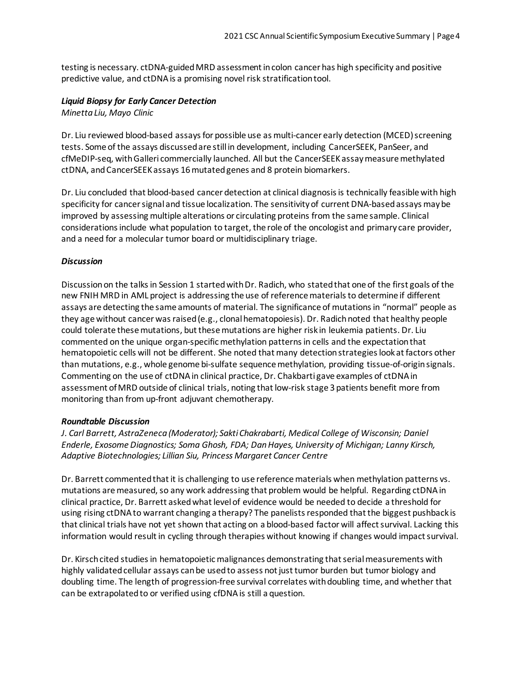testing is necessary. ctDNA-guided MRD assessment in colon cancer has high specificity and positive predictive value, and ctDNA is a promising novel risk stratification tool.

#### *Liquid Biopsy for Early Cancer Detection*

*Minetta Liu, Mayo Clinic*

Dr. Liu reviewed blood-based assays for possible use as multi-cancer early detection (MCED) screening tests. Some of the assays discussed are still in development, including CancerSEEK, PanSeer, and cfMeDIP-seq, with Galleri commercially launched. All but the CancerSEEK assay measure methylated ctDNA, andCancerSEEK assays 16 mutated genes and 8 protein biomarkers.

Dr. Liu concluded that blood-based cancer detection at clinical diagnosis is technically feasible with high specificity for cancer signal and tissue localization. The sensitivity of current DNA-based assays may be improved by assessing multiple alterations or circulating proteins from the same sample. Clinical considerations include what population to target, the role of the oncologist and primary care provider, and a need for a molecular tumor board or multidisciplinary triage.

#### *Discussion*

Discussion on the talks in Session 1 started with Dr. Radich, who statedthat one of the first goals of the new FNIH MRD in AML project is addressing the use of reference materials to determine if different assays are detecting the same amounts of material. The significance of mutations in "normal" people as they age without cancer was raised (e.g., clonal hematopoiesis). Dr. Radich noted that healthy people could tolerate these mutations, but these mutations are higher risk in leukemia patients. Dr. Liu commented on the unique organ-specific methylation patterns in cells and the expectation that hematopoietic cells will not be different. She noted that many detection strategies look at factors other than mutations, e.g., whole genome bi-sulfate sequence methylation, providing tissue-of-origin signals. Commenting on the use of ctDNA in clinical practice, Dr. Chakbarti gave examples of ctDNA in assessment ofMRD outside of clinical trials, noting that low-risk stage 3 patients benefit more from monitoring than from up-front adjuvant chemotherapy.

#### *Roundtable Discussion*

*J. Carl Barrett, AstraZeneca (Moderator); Sakti Chakrabarti, Medical College of Wisconsin; Daniel Enderle, Exosome Diagnostics; Soma Ghosh, FDA; Dan Hayes, University of Michigan; Lanny Kirsch, Adaptive Biotechnologies; Lillian Siu, Princess Margaret Cancer Centre*

Dr. Barrett commented that it is challenging to use reference materials when methylation patterns vs. mutations are measured, so any work addressing that problem would be helpful. Regarding ctDNA in clinical practice, Dr. Barrett asked what level of evidence would be needed to decide a threshold for using rising ctDNA to warrant changing a therapy? The panelists responded that the biggest pushback is that clinical trials have not yet shown that acting on a blood-based factor will affect survival. Lacking this information would result in cycling through therapies without knowing if changes would impact survival.

Dr. Kirsch cited studies in hematopoietic malignances demonstrating that serial measurements with highly validated cellular assays can be used to assess not just tumor burden but tumor biology and doubling time. The length of progression-free survival correlates with doubling time, and whether that can be extrapolated to or verified using cfDNA is still a question.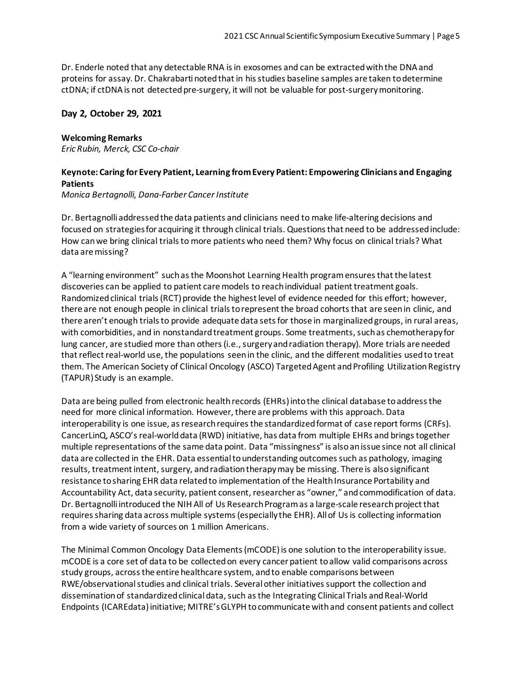Dr. Enderle noted that any detectable RNA is in exosomes and can be extracted with the DNA and proteins for assay. Dr. Chakrabarti noted that in his studies baseline samples are taken to determine ctDNA; if ctDNA is not detected pre-surgery, it will not be valuable for post-surgery monitoring.

### **Day 2, October 29, 2021**

#### **Welcoming Remarks**

*Eric Rubin, Merck, CSC Co-chair*

# **Keynote: Caring for Every Patient, Learning from Every Patient: Empowering Clinicians and Engaging Patients**

*Monica Bertagnolli, Dana-Farber Cancer Institute*

Dr. Bertagnolli addressedthe data patients and clinicians need to make life-altering decisions and focused on strategiesfor acquiring it through clinical trials. Questionsthat need to be addressedinclude: How canwe bring clinical trialsto more patients who need them? Why focus on clinical trials? What data are missing?

A "learning environment" suchasthe Moonshot Learning Health programensuresthatthe latest discoveries can be applied to patient care models to reach individual patient treatment goals. Randomized clinical trials (RCT) provide the highest level of evidence needed for this effort; however, there are not enough people in clinical trials to represent the broad cohorts that are seen in clinic, and there aren't enough trials to provide adequate data sets for those in marginalized groups, in rural areas, with comorbidities, and in nonstandard treatment groups. Some treatments, such as chemotherapy for lung cancer, are studied more than others (i.e., surgery and radiation therapy). More trials are needed that reflect real-world use, the populations seen in the clinic, and the different modalities used to treat them. The American Society of Clinical Oncology (ASCO) Targeted Agent and Profiling Utilization Registry (TAPUR) Study is an example.

Data are being pulled from electronic health records (EHRs) into the clinical database to address the need for more clinical information. However, there are problems with this approach. Data interoperability is one issue, as research requires the standardized format of case report forms (CRFs). CancerLinQ, ASCO'sreal-worlddata (RWD) initiative, has data from multiple EHRs and bringstogether multiple representations of the same data point. Data "missingness" is alsoanissue since not all clinical data are collected in the EHR. Data essential to understanding outcomes such as pathology, imaging results, treatment intent, surgery, and radiation therapy may be missing. There is also significant resistance to sharing EHR data related to implementation of the Health Insurance Portability and Accountability Act, data security, patient consent, researcher as "owner," andcommodification of data. Dr. Bertagnolli introduced the NIH All of Us Research Program as a large-scale research project that requires sharing data across multiple systems (especially the EHR). All of Us is collecting information from a wide variety of sources on 1 million Americans.

The Minimal Common Oncology Data Elements(mCODE)is one solution to the interoperability issue. mCODE is a core set of data to be collectedon every cancer patient toallow valid comparisons across study groups, acrossthe entire healthcare system, andto enable comparisons between RWE/observational studies and clinical trials. Several other initiatives support the collection and dissemination of standardized clinical data, such as the Integrating Clinical Trials and Real-World Endpoints (ICAREdata)initiative; MITRE'sGLYPH tocommunicate withand consent patients and collect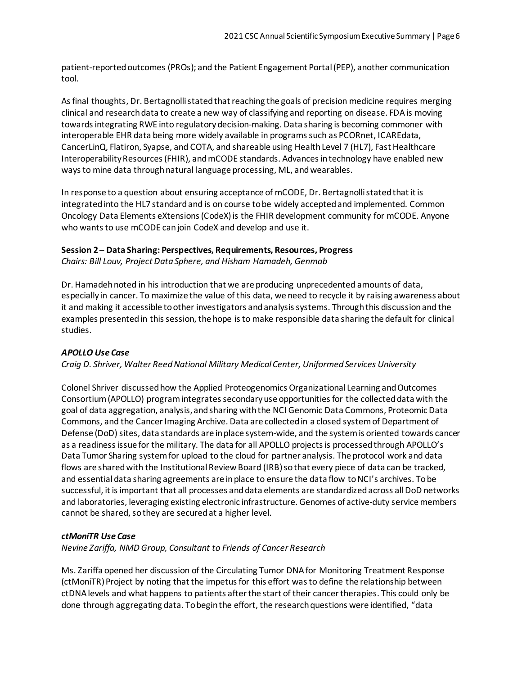patient-reportedoutcomes (PROs); and the Patient Engagement Portal(PEP), another communication tool.

As final thoughts, Dr. Bertagnolli stated that reaching the goals of precision medicine requires merging clinical and researchdata to create a new way of classifying and reporting on disease. FDAis moving towards integrating RWE into regulatory decision-making. Data sharing is becoming commoner with interoperable EHR data being more widely available in programssuch as PCORnet, ICAREdata, CancerLinQ, Flatiron, Syapse, and COTA, and shareable using HealthLevel 7 (HL7), Fast Healthcare InteroperabilityResources(FHIR), andmCODE standards. Advancesintechnology have enabled new waysto mine data throughnatural language processing, ML, andwearables.

In response to a question about ensuring acceptance of mCODE, Dr. Bertagnolli stated that it is integratedinto the HL7 standardand is on course tobe widely acceptedand implemented. Common Oncology Data Elements eXtensions (CodeX) is the FHIR development community for mCODE. Anyone who wants to use mCODE canjoin CodeX and develop and use it.

#### **Session 2 – Data Sharing: Perspectives, Requirements, Resources, Progress**

*Chairs: Bill Louv, Project Data Sphere, and Hisham Hamadeh, Genmab*

Dr. Hamadeh noted in his introduction that we are producing unprecedented amounts of data, especially in cancer. To maximize the value of this data, we need to recycle it by raising awareness about it and making it accessible toother investigators andanalysissystems. Throughthis discussionand the examples presentedin thissession, the hope isto make responsible data sharing the default for clinical studies.

# *APOLLO Use Case*

*Craig D. Shriver, Walter ReedNational Military MedicalCenter, Uniformed Services University*

Colonel Shriver discussedhow the Applied Proteogenomics Organizational Learning andOutcomes Consortium(APOLLO) programintegratessecondaryuse opportunitiesfor the collecteddata with the goal of data aggregation, analysis,andsharing withthe NCI Genomic Data Commons, ProteomicData Commons, and the CancerImaging Archive. Data are collectedin a closed systemof Department of Defense (DoD) sites, data standards are inplace system-wide, and the systemis oriented towards cancer as a readiness issue for the military. The data for all APOLLO projects is processed through APOLLO's Data Tumor Sharing systemfor upload to the cloud for partner analysis. The protocol work and data flows are shared with the Institutional Review Board (IRB) so that every piece of data can be tracked, and essentialdata sharing agreements are inplace to ensure the data flow toNCI's archives. Tobe successful, it is important that all processes and data elements are standardized across all DoD networks and laboratories, leveraging existing electronic infrastructure. Genomes of active-duty service members cannot be shared, so they are secured at a higher level.

# *ctMoniTR Use Case*

*Nevine Zariffa, NMD Group, Consultant to Friends of Cancer Research*

Ms. Zariffa opened her discussion of the Circulating Tumor DNAfor Monitoring Treatment Response (ctMoniTR) Project by noting that the impetus for this effort was to define the relationship between ctDNAlevels and what happens to patients afterthe start of their cancertherapies. This could only be done through aggregating data. To begin the effort, the research questions were identified, "data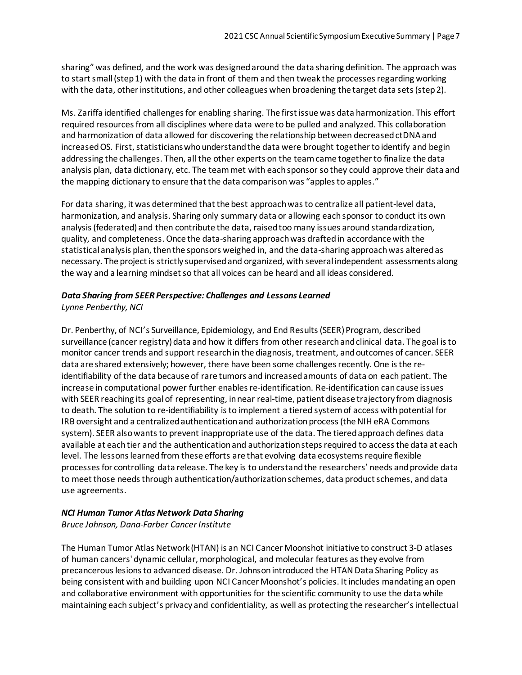sharing" was defined, and the work was designedaround the data sharing definition. The approach was to startsmall(step1) with the data in front of them and then tweak the processesregarding working with the data, other institutions, and other colleagues when broadening the target data sets (step 2).

Ms. Zariffa identified challengesfor enabling sharing. The firstissue was data harmonization. This effort required resourcesfrom all disciplines where data were to be pulled and analyzed. This collaboration and harmonization of data allowed for discovering the relationship between decreased ctDNA and increased OS. First, statisticians who understand the data were brought together to identify and begin addressing the challenges. Then, all the other experts on the teamcame togetherto finalize the data analysis plan, data dictionary, etc. The teammet with eachsponsor sothey could approve their data and the mapping dictionary to ensure that the data comparison was "apples to apples."

For data sharing, it was determined that the best approach was to centralize all patient-level data, harmonization, and analysis. Sharing only summary data or allowing eachsponsor to conduct its own analysis(federated) and then contribute the data, raisedtoo many issues around standardization, quality, and completeness. Once the data-sharing approachwas draftedin accordance with the statistical analysis plan, thenthe sponsors weighed in, and the data-sharing approachwas alteredas necessary. The project is strictly supervised and organized, with several independent assessments along the way and a learning mindsetso that all voices can be heard and all ideas considered.

# *Data Sharing from SEER Perspective: Challenges and Lessons Learned*

*Lynne Penberthy, NCI*

Dr. Penberthy, of NCI's Surveillance, Epidemiology, and End Results (SEER) Program, described surveillance (cancer registry) data and how it differs from other research and clinical data. The goal is to monitor cancer trends and support researchin the diagnosis, treatment, andoutcomes of cancer. SEER data are shared extensively; however, there have been some challenges recently. One is the reidentifiability of the data because of rare tumors and increasedamounts of data on each patient. The increase in computational power further enables re-identification. Re-identification can cause issues with SEER reaching its goalof representing, innear real-time, patient disease trajectory from diagnosis to death. The solution to re-identifiability isto implement a tiered systemof access withpotential for IRB oversight and a centralized authentication and authorization process (the NIH eRA Commons system). SEER also wants to prevent inappropriate use of the data. The tiered approach defines data available at eachtier and the authenticationand authorizationstepsrequired to accessthe data at each level. The lessons learned from these efforts are that evolving data ecosystems require flexible processesfor controlling data release. The key is to understandthe researchers' needs andprovide data to meet those needs through authentication/authorization schemes, data product schemes, and data use agreements.

# *NCI Human Tumor Atlas Network Data Sharing*

*Bruce Johnson, Dana-Farber CancerInstitute*

The Human Tumor Atlas Network (HTAN) is an NCI Cancer Moonshot initiative to construct 3-D atlases of human cancers' dynamic cellular, morphological, and molecular features asthey evolve from precancerouslesionsto advanced disease. Dr. Johnsonintroduced the HTANData Sharing Policy as being consistent with and building upon NCI Cancer Moonshot's policies. It includes mandating an open and collaborative environment with opportunities for the scientific community to use the data while maintaining each subject's privacyand confidentiality, as well as protecting the researcher'sintellectual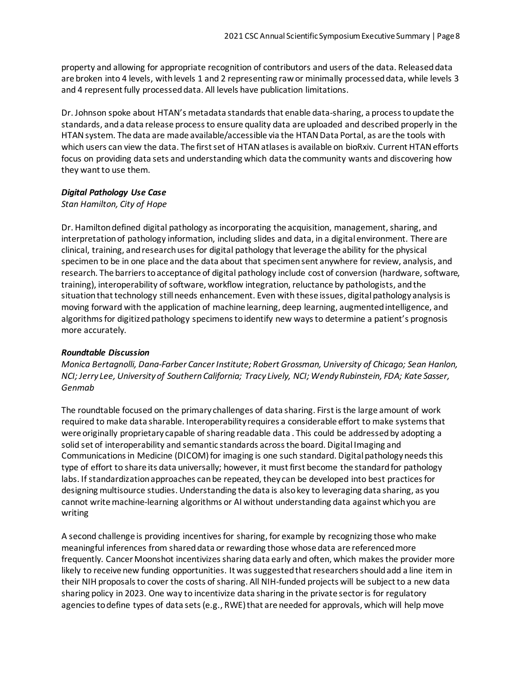property and allowing for appropriate recognition of contributors and users of the data. Releaseddata are broken into 4 levels, withlevels 1 and 2 representing rawor minimally processeddata, while levels 3 and 4 represent fully processed data. All levels have publication limitations.

Dr. Johnson spoke about HTAN's metadata standardsthat enable data-sharing, a processtoupdate the standards, anda data release processto ensure quality data are uploaded and described properly in the HTAN system. The data are made available/accessible via the HTAN Data Portal, as are the tools with which users can view the data. The first set of HTAN atlases is available on bioRxiv. Current HTAN efforts focus on providing data sets and understanding which data the community wants and discovering how they want to use them.

# *Digital Pathology Use Case*

# *Stan Hamilton, City of Hope*

Dr. Hamilton defined digital pathology as incorporating the acquisition, management, sharing, and interpretationof pathology information, including slides and data, in a digital environment. There are clinical, training, andresearchusesfor digital pathology thatleverage the ability for the physical specimen to be in one place and the data about that specimensent anywhere for review, analysis, and research. The barriers to acceptance of digital pathology include cost of conversion (hardware, software, training), interoperability of software, workflow integration, reluctance by pathologists, and the situation that technology still needs enhancement. Even with these issues, digital pathology analysis is moving forward with the application of machine learning, deep learning, augmentedintelligence, and algorithms for digitized pathology specimens to identify new ways to determine a patient's prognosis more accurately.

# *Roundtable Discussion*

*Monica Bertagnolli, Dana-Farber CancerInstitute; Robert Grossman, University of Chicago; Sean Hanlon, NCI; Jerry Lee, Universityof SouthernCalifornia; Tracy Lively, NCI; WendyRubinstein, FDA; Kate Sasser, Genmab*

The roundtable focused on the primary challenges of data sharing. Firstisthe large amount of work required to make data sharable. Interoperability requires a considerable effort to make systemsthat were originally proprietary capable of sharing readable data . This could be addressed by adopting a solid set of interoperability and semantic standards acrossthe board. Digital Imaging and Communications in Medicine (DICOM) for imaging is one such standard. Digital pathology needs this type of effort to share its data universally; however, it mustfirst become the standardfor pathology labs. If standardization approaches can be repeated, they can be developed into best practices for designing multisource studies. Understanding the data is alsokey to leveraging data sharing, as you cannot write machine-learning algorithms or AI without understanding data against which you are writing

A second challenge is providing incentivesfor sharing, for example by recognizing those who make meaningful inferences from shareddata or rewarding those whose data are referencedmore frequently. Cancer Moonshot incentivizes sharing data early and often, which makes the provider more likely to receive new funding opportunities. It was suggested that researchers should add a line item in their NIH proposals to cover the costs of sharing. All NIH-funded projects will be subject to a new data sharing policy in 2023. One way to incentivize data sharing in the private sector is for regulatory agencies to define types of data sets (e.g., RWE) that are needed for approvals, which will help move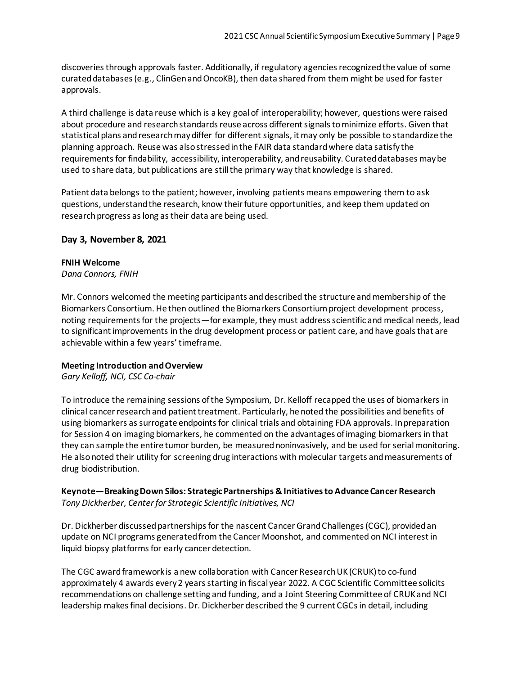discoveries through approvals faster. Additionally, if regulatory agencies recognized the value of some curateddatabases(e.g., ClinGenandOncoKB), then data shared from them might be used for faster approvals.

A third challenge is data reuse which is a key goalof interoperability; however, questions were raised about procedure and research standards reuse across different signals to minimize efforts. Given that statisticalplans andresearchmaydiffer for different signals, it may only be possible to standardize the planning approach. Reuse was alsostressedinthe FAIR data standardwhere data satisfy the requirementsfor findability, accessibility, interoperability, andreusability. Curateddatabases maybe used to share data, but publications are stillthe primary way that knowledge is shared.

Patient data belongs to the patient; however, involving patients means empowering them to ask questions, understand the research, know their future opportunities, and keep them updated on research progress as long as their data are being used.

# **Day 3, November 8, 2021**

#### **FNIH Welcome**

*Dana Connors, FNIH*

Mr. Connors welcomed the meeting participants and described the structure and membership of the Biomarkers Consortium. He then outlined the Biomarkers Consortium project development process, noting requirements for the projects—for example, they must address scientific and medical needs, lead to significant improvements in the drug development process or patient care, and have goals that are achievable within a few years' timeframe.

# **Meeting Introduction and Overview**

*Gary Kelloff, NCI, CSC Co-chair*

To introduce the remaining sessions of the Symposium, Dr. Kelloff recapped the uses of biomarkers in clinical cancer research and patient treatment. Particularly, he noted the possibilities and benefits of using biomarkers as surrogate endpoints for clinical trials and obtaining FDA approvals. In preparation for Session 4 on imaging biomarkers, he commented on the advantages of imaging biomarkers in that they can sample the entire tumor burden, be measured noninvasively, and be used for serial monitoring. He also noted their utility for screening drug interactions with molecular targets andmeasurements of drug biodistribution.

**Keynote—Breaking Down Silos: Strategic Partnerships & Initiatives to Advance Cancer Research** *Tony Dickherber, Center for Strategic Scientific Initiatives, NCI* 

Dr. Dickherber discussed partnerships for the nascent Cancer Grand Challenges(CGC), provided an update on NCI programs generated from the Cancer Moonshot, and commented on NCI interest in liquid biopsy platforms for early cancer detection.

The CGC award framework is a new collaboration with Cancer Research UK (CRUK) to co-fund approximately 4 awards every 2 years starting in fiscal year 2022. A CGC Scientific Committee solicits recommendations on challenge setting and funding, and a Joint Steering Committee of CRUK and NCI leadership makes final decisions. Dr. Dickherber described the 9 current CGCsin detail, including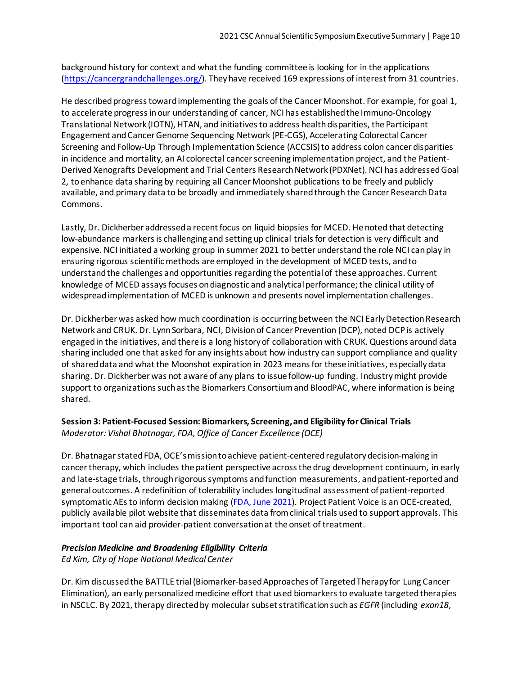background history for context and what the funding committee is looking for in the applications [\(https://cancergrandchallenges.org/\)](https://cancergrandchallenges.org/). They have received 169 expressions of interest from 31 countries.

He described progress toward implementing the goals of the Cancer Moonshot. For example, for goal 1, to accelerate progress in our understanding of cancer, NCI has established the Immuno-Oncology Translational Network (IOTN), HTAN, and initiatives to address health disparities, the Participant Engagement and Cancer Genome Sequencing Network (PE-CGS), Accelerating Colorectal Cancer Screening and Follow-Up Through Implementation Science (ACCSIS)to address colon cancer disparities in incidence and mortality, an AI colorectal cancerscreening implementation project, and the Patient-Derived Xenografts Development and Trial Centers Research Network (PDXNet). NCI has addressed Goal 2, to enhance data sharing by requiring all Cancer Moonshot publications to be freely and publicly available, and primary data to be broadly and immediately shared through the Cancer Research Data Commons.

Lastly, Dr. Dickherber addressed a recent focus on liquid biopsies for MCED. He noted that detecting low-abundance markers is challenging and setting up clinical trials for detection is very difficult and expensive. NCI initiated a working group in summer 2021 to better understand the role NCI can play in ensuring rigorous scientific methods are employed in the development of MCED tests, and to understand the challenges and opportunities regarding the potential of these approaches. Current knowledge of MCED assays focuses on diagnostic and analytical performance; the clinical utility of widespread implementation of MCED is unknown and presents novel implementation challenges.

Dr. Dickherber was asked how much coordination is occurring between the NCI Early Detection Research Network and CRUK. Dr. Lynn Sorbara, NCI, Division of Cancer Prevention (DCP), noted DCP is actively engaged in the initiatives, and there is a long history of collaboration with CRUK. Questions around data sharing included one that asked for any insights about how industry can support compliance and quality of shared data and what the Moonshot expiration in 2023 meansfor these initiatives, especially data sharing. Dr. Dickherber was not aware of any plans to issue follow-up funding. Industry might provide support to organizations such asthe Biomarkers Consortium and BloodPAC, where information is being shared.

# **Session 3: Patient-Focused Session: Biomarkers, Screening, and Eligibility for Clinical Trials** *Moderator: Vishal Bhatnagar, FDA, Office of Cancer Excellence (OCE)*

Dr. Bhatnagar stated FDA, OCE's mission to achieve patient-centered regulatory decision-making in cancer therapy, which includes the patient perspective across the drug development continuum, in early and late-stage trials, through rigorous symptoms and function measurements, and patient-reported and general outcomes. A redefinition of tolerability includes longitudinal assessment of patient-reported symptomatic AEs to inform decision making [\(FDA, June 2021\)](https://www.fda.gov/regulatory-information/search-fda-guidance-documents/core-patient-reported-outcomes-cancer-clinical-trials). Project Patient Voice is an OCE-created, publicly available pilot website that disseminates data from clinical trials used to support approvals. This important tool can aid provider-patient conversation at the onset of treatment.

# *Precision Medicine and Broadening Eligibility Criteria*

*Ed Kim, City of Hope National Medical Center* 

Dr. Kim discussedthe BATTLE trial (Biomarker-based Approaches of Targeted Therapy for Lung Cancer Elimination), an early personalized medicine effort that used biomarkers to evaluate targeted therapies in NSCLC. By 2021, therapy directed by molecular subset stratificationsuch as *EGFR* (including *exon18*,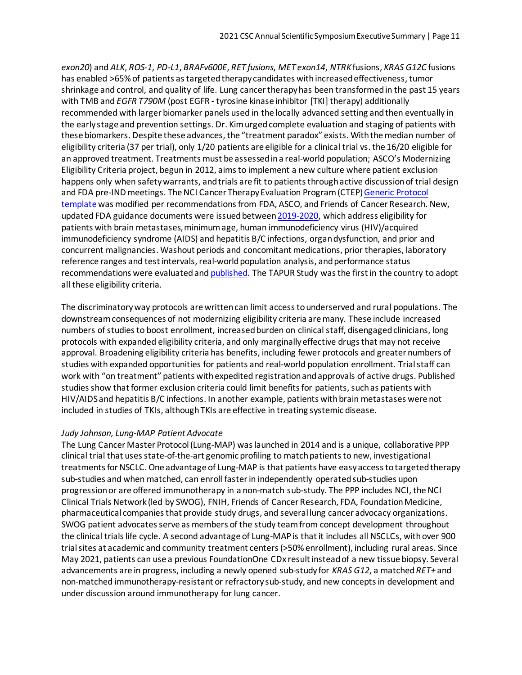*exon20*) and *ALK*, *ROS-1*, *PD-L1*, *BRAFv600E*, *RET fusions*, *MET exon14*, *NTRK*fusions, *KRAS G12C* fusions has enabled >65% of patients as targeted therapy candidates with increased effectiveness, tumor shrinkage and control, and quality of life. Lung cancer therapy has been transformed in the past 15 years with TMB and *EGFR T790M* (post EGFR - tyrosine kinase inhibitor [TKI] therapy) additionally recommended with larger biomarker panels used in the locally advanced setting and then eventually in the early stage and prevention settings. Dr. Kim urgedcomplete evaluation and staging of patients with these biomarkers. Despite these advances, the "treatment paradox" exists. With the median number of eligibility criteria (37 per trial), only 1/20 patients are eligible for a clinical trial vs. the 16/20 eligible for an approved treatment. Treatments must be assessed in a real-world population; ASCO's Modernizing Eligibility Criteria project, begun in 2012, aims to implement a new culture where patient exclusion happens only when safety warrants, and trials are fit to patients through active discussion of trial design and FDA pre-IND meetings. The NCI Cancer Therapy Evaluation Program (CTEP) Generic Protocol [template](https://ctep.cancer.gov/protocoldevelopment/docs/NCI_ASCO_Friends_Eligibility_Criteria.pdf) was modified per recommendations from FDA, ASCO, and Friends of Cancer Research. New, updated FDA guidance documents were issued betwee[n 2019-2020,](https://www.fda.gov/regulatory-information/search-fda-guidance-documents/cancer-clinical-trial-eligibility-criteria-brain-metastases) which address eligibility for patients with brain metastases, minimum age, human immunodeficiency virus (HIV)/acquired immunodeficiency syndrome (AIDS) and hepatitis B/C infections, organ dysfunction, and prior and concurrent malignancies. Washout periods and concomitant medications, prior therapies, laboratory reference ranges and test intervals, real-world population analysis, and performance status recommendations were evaluated an[d published.](https://clincancerres.aacrjournals.org/content/27/9/2430) The TAPUR Study was the first in the country to adopt all these eligibility criteria.

The discriminatory way protocols are written can limit access to underserved and rural populations. The downstream consequences of not modernizing eligibility criteria are many. These include increased numbers of studies to boost enrollment, increased burden on clinical staff, disengaged clinicians, long protocols with expanded eligibility criteria, and only marginally effective drugs that may not receive approval. Broadening eligibility criteria has benefits, including fewer protocols and greater numbers of studies with expanded opportunities for patients and real-world population enrollment. Trial staff can work with "on treatment" patients with expedited registrationand approvals of active drugs. Published studies show that former exclusion criteria could limit benefits for patients, such as patients with HIV/AIDS and hepatitis B/C infections. In another example, patients with brain metastases were not included in studies of TKIs, although TKIs are effective in treating systemic disease.

#### *Judy Johnson, Lung-MAP Patient Advocate*

The Lung Cancer Master Protocol (Lung-MAP) was launched in 2014 and is a unique, collaborative PPP clinical trial that uses state-of-the-art genomic profiling to match patients to new, investigational treatments for NSCLC. One advantage of Lung-MAP is that patients have easy access to targeted therapy sub-studies and when matched, can enroll faster in independently operated sub-studies upon progression or are offered immunotherapy in a non-match sub-study. The PPP includes NCI, the NCI Clinical Trials Network (led by SWOG), FNIH, Friends of Cancer Research, FDA, Foundation Medicine, pharmaceutical companies that provide study drugs, and several lung cancer advocacy organizations. SWOG patient advocates serve as members of the study team from concept development throughout the clinical trials life cycle. A second advantage of Lung-MAP is that it includes all NSCLCs, with over 900 trial sites at academic and community treatment centers (>50% enrollment), including rural areas. Since May 2021, patients can use a previous FoundationOne CDx result instead of a new tissue biopsy. Several advancements are in progress, including a newly opened sub-study for *KRAS G12*, a matched *RET+* and non-matched immunotherapy-resistant or refractory sub-study, and new concepts in development and under discussion around immunotherapy for lung cancer.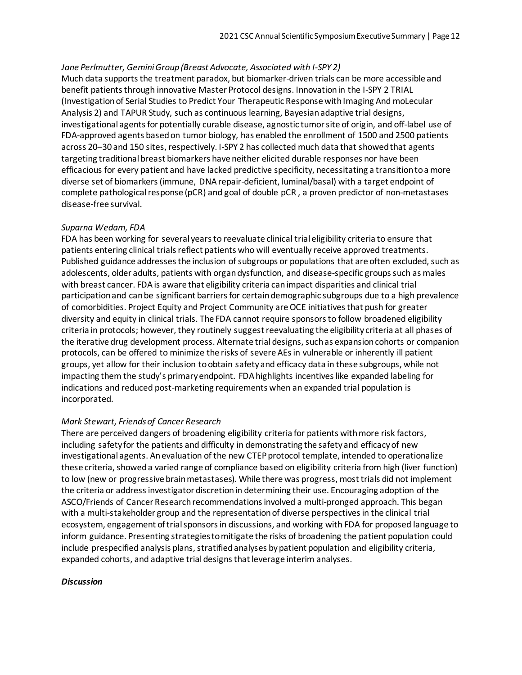### *Jane Perlmutter, GeminiGroup (Breast Advocate, Associated with I-SPY 2)*

Much data supports the treatment paradox, but biomarker-driven trials can be more accessible and benefit patients through innovative Master Protocol designs. Innovation in the I-SPY 2 TRIAL (Investigation of Serial Studies to Predict Your Therapeutic Response with Imaging And moLecular Analysis 2) and TAPUR Study, such as continuous learning, Bayesian adaptive trial designs, investigational agents for potentially curable disease, agnostic tumor site of origin, and off-label use of FDA-approved agents based on tumor biology, has enabled the enrollment of 1500 and 2500 patients across 20–30 and 150 sites, respectively. I-SPY 2 has collected much data that showed that agents targeting traditional breast biomarkers have neither elicited durable responses nor have been efficacious for every patient and have lacked predictive specificity, necessitating a transition to a more diverse set of biomarkers (immune, DNA repair-deficient, luminal/basal) with a target endpoint of complete pathological response (pCR) and goal of double pCR , a proven predictor of non-metastases disease-free survival.

### *Suparna Wedam, FDA*

FDA has been working for several years to reevaluate clinical trial eligibility criteria to ensure that patients entering clinical trials reflect patients who will eventually receive approved treatments. Published guidance addresses the inclusion of subgroups or populations that are often excluded, such as adolescents, older adults, patients with organ dysfunction, and disease-specific groups such as males with breast cancer. FDA is aware that eligibility criteria can impact disparities and clinical trial participation and can be significant barriers for certain demographic subgroups due to a high prevalence of comorbidities. Project Equity and Project Community are OCE initiatives that push for greater diversity and equity in clinical trials. The FDA cannot require sponsors to follow broadened eligibility criteria in protocols; however, they routinely suggest reevaluating the eligibility criteria at all phases of the iterative drug development process. Alternate trial designs, such as expansion cohorts or companion protocols, can be offered to minimize the risks of severe AEs in vulnerable or inherently ill patient groups, yet allow for their inclusion to obtain safety and efficacy data in these subgroups, while not impacting them the study's primary endpoint. FDA highlights incentives like expanded labeling for indications and reduced post-marketing requirements when an expanded trial population is incorporated.

# *Mark Stewart, Friends of Cancer Research*

There are perceived dangers of broadening eligibility criteria for patients with more risk factors, including safety for the patients and difficulty in demonstrating the safety and efficacy of new investigational agents. An evaluation of the new CTEPprotocol template, intended to operationalize these criteria, showed a varied range of compliance based on eligibility criteria from high (liver function) to low (new or progressive brain metastases). While there was progress, mosttrials did not implement the criteria or address investigator discretion in determining their use. Encouraging adoption of the ASCO/Friends of Cancer Research recommendations involved a multi-pronged approach. This began with a multi-stakeholder group and the representation of diverse perspectives in the clinical trial ecosystem, engagement of trial sponsors in discussions, and working with FDA for proposed language to inform guidance. Presenting strategies to mitigate the risks of broadening the patient population could include prespecified analysis plans, stratified analyses by patient population and eligibility criteria, expanded cohorts, and adaptive trial designs that leverage interim analyses.

#### *Discussion*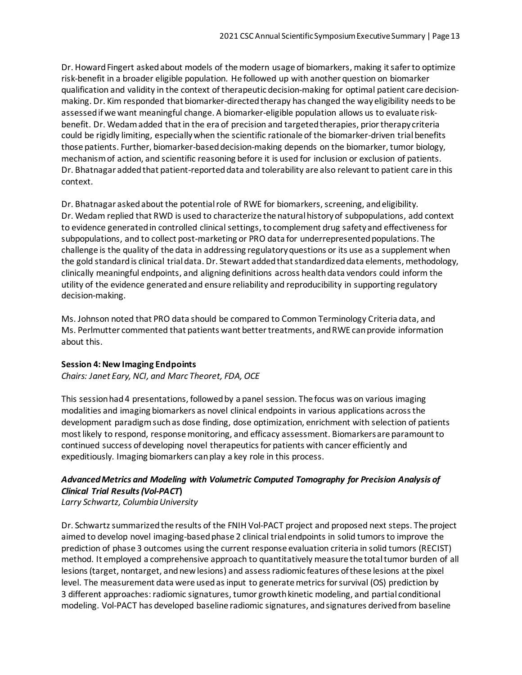Dr. Howard Fingert asked about models of the modern usage of biomarkers, making it safer to optimize risk-benefit in a broader eligible population. He followed up with another question on biomarker qualification and validity in the context of therapeutic decision-making for optimal patient care decisionmaking. Dr. Kim responded that biomarker-directed therapy has changed the way eligibility needs to be assessed if we want meaningful change. A biomarker-eligible population allows us to evaluate riskbenefit. Dr. Wedam added that in the era of precision and targeted therapies, prior therapy criteria could be rigidly limiting, especially when the scientific rationale of the biomarker-driven trial benefits those patients. Further, biomarker-baseddecision-making depends on the biomarker, tumor biology, mechanism of action, and scientific reasoning before it is used for inclusion or exclusion of patients. Dr. Bhatnagar added that patient-reported data and tolerability are also relevant to patient care in this context.

Dr. Bhatnagar asked about the potential role of RWE for biomarkers, screening, and eligibility. Dr. Wedam replied that RWD is used to characterize the natural history of subpopulations, add context to evidence generated in controlled clinical settings, tocomplement drug safety and effectiveness for subpopulations, and to collect post-marketing or PRO data for underrepresented populations. The challenge is the quality of the data in addressing regulatory questions or its use as a supplement when the gold standard is clinical trial data. Dr. Stewart added that standardized data elements, methodology, clinically meaningful endpoints, and aligning definitions across health data vendors could inform the utility of the evidence generated and ensure reliability and reproducibility in supporting regulatory decision-making.

Ms. Johnson noted that PRO data should be compared to Common Terminology Criteria data, and Ms. Perlmutter commented that patients want better treatments, and RWE can provide information about this.

# **Session 4: New Imaging Endpoints**

*Chairs: Janet Eary, NCI, and Marc Theoret, FDA, OCE*

This session had 4 presentations, followed by a panel session. The focus was on various imaging modalities and imaging biomarkers as novel clinical endpoints in various applications across the development paradigm such as dose finding, dose optimization, enrichment with selection of patients most likely to respond, response monitoring, and efficacy assessment. Biomarkers are paramount to continued success of developing novel therapeutics for patients with cancer efficiently and expeditiously. Imaging biomarkers can play a key role in this process.

# *Advanced Metrics and Modeling with Volumetric Computed Tomography for Precision Analysis of Clinical Trial Results (Vol-PACT***)**

*Larry Schwartz, Columbia University*

Dr. Schwartz summarized the results of the FNIH Vol-PACT project and proposed next steps. The project aimed to develop novel imaging-based phase 2 clinical trial endpoints in solid tumors to improve the prediction of phase 3 outcomes using the current response evaluation criteria in solid tumors (RECIST) method. It employed a comprehensive approach to quantitatively measure the total tumor burden of all lesions (target, nontarget, and new lesions) and assess radiomic features of these lesions at the pixel level. The measurement data were used as input to generate metrics for survival (OS) prediction by 3 different approaches: radiomic signatures, tumor growth kinetic modeling, and partial conditional modeling. Vol-PACT has developed baseline radiomic signatures, and signatures derived from baseline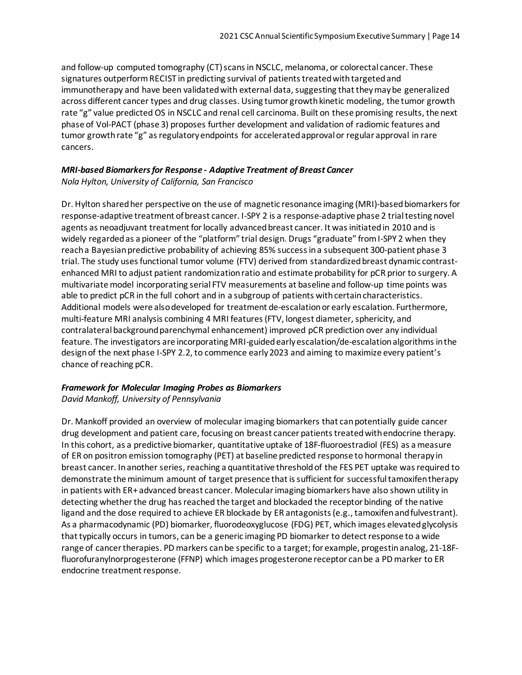and follow-up computed tomography (CT) scans in NSCLC, melanoma, or colorectal cancer. These signatures outperform RECIST in predicting survival of patients treated with targeted and immunotherapy and have been validated with external data, suggesting that they may be generalized across different cancer types and drug classes. Using tumor growth kinetic modeling, the tumor growth rate "g" value predicted OS in NSCLC and renal cell carcinoma. Built on these promising results, the next phase of Vol-PACT (phase 3) proposes further development and validation of radiomic features and tumor growth rate "g" as regulatory endpoints for accelerated approval or regular approval in rare cancers.

### *MRI-based Biomarkers for Response - Adaptive Treatment of Breast Cancer Nola Hylton, University of California, San Francisco*

Dr. Hylton shared her perspective on the use of magnetic resonance imaging (MRI)-based biomarkers for response-adaptive treatment of breast cancer. I-SPY 2 is a response-adaptive phase 2 trial testing novel agents as neoadjuvant treatment for locally advanced breast cancer. It was initiated in 2010 and is widely regarded as a pioneer of the "platform" trial design. Drugs "graduate" from I-SPY 2 when they reach a Bayesian predictive probability of achieving 85% success in a subsequent 300-patient phase 3 trial. The study uses functional tumor volume (FTV) derived from standardized breast dynamic contrastenhanced MRI to adjust patient randomization ratio and estimate probability for pCR prior to surgery. A multivariate model incorporating serial FTV measurements at baseline and follow-up time points was able to predict pCR in the full cohort and in a subgroup of patients with certain characteristics. Additional models were also developed for treatment de-escalation or early escalation. Furthermore, multi-feature MRI analysis combining 4 MRI features (FTV, longest diameter, sphericity, and contralateral background parenchymal enhancement) improved pCR prediction over any individual feature. The investigators are incorporating MRI-guided early escalation/de-escalation algorithms in the designof the next phase I-SPY 2.2, to commence early 2023 and aiming to maximize every patient's chance of reaching pCR.

# *Framework for Molecular Imaging Probes as Biomarkers*

*David Mankoff, University of Pennsylvania*

Dr. Mankoff provided an overview of molecular imaging biomarkers that can potentially guide cancer drug development and patient care, focusing on breast cancer patients treated with endocrine therapy. In this cohort, as a predictive biomarker, quantitative uptake of 18F-fluoroestradiol (FES) as a measure of ER on positron emission tomography (PET) at baseline predicted response to hormonal therapy in breast cancer. In another series, reaching a quantitative threshold of the FES PET uptake was required to demonstrate the minimum amount of target presence that is sufficient for successful tamoxifen therapy in patients with ER+ advanced breast cancer. Molecular imaging biomarkers have also shown utility in detecting whether the drug has reached the target and blockaded the receptor binding of the native ligand and the dose required to achieve ER blockade by ER antagonists (e.g., tamoxifen and fulvestrant). As a pharmacodynamic (PD) biomarker, fluorodeoxyglucose (FDG) PET, which images elevated glycolysis that typically occurs in tumors, can be a generic imaging PD biomarker to detect response to a wide range of cancer therapies. PD markers can be specific to a target; for example, progestin analog, 21-18Ffluorofuranylnorprogesterone (FFNP) which images progesterone receptor can be a PD marker to ER endocrine treatment response.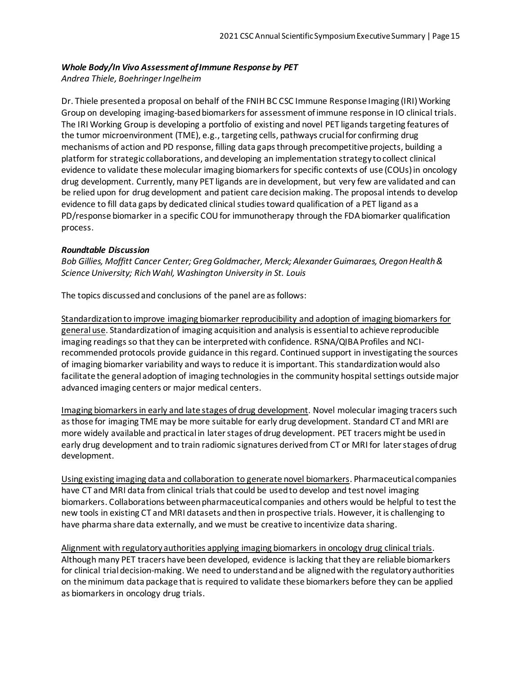# *Whole Body/In Vivo Assessment of Immune Response by PET*

*Andrea Thiele, Boehringer Ingelheim*

Dr. Thiele presented a proposal on behalf of the FNIH BC CSC Immune Response Imaging (IRI) Working Group on developing imaging-based biomarkers for assessment of immune response in IO clinical trials. The IRI Working Group is developing a portfolio of existing and novel PET ligands targeting features of the tumor microenvironment (TME), e.g., targeting cells, pathways crucial for confirming drug mechanisms of action and PD response, filling data gaps through precompetitive projects, building a platform for strategic collaborations, and developing an implementation strategy to collect clinical evidence to validate these molecular imaging biomarkers for specific contexts of use (COUs) in oncology drug development. Currently, many PET ligands are in development, but very few are validated and can be relied upon for drug development and patient care decision making. The proposal intends to develop evidence to fill data gaps by dedicated clinical studies toward qualification of a PET ligand as a PD/response biomarker in a specific COU for immunotherapy through the FDA biomarker qualification process.

### *Roundtable Discussion*

*Bob Gillies, Moffitt Cancer Center; Greg Goldmacher, Merck; Alexander Guimaraes, Oregon Health & Science University; Rich Wahl, Washington University in St. Louis*

The topics discussed and conclusions of the panel are as follows:

Standardization to improve imaging biomarker reproducibility and adoption of imaging biomarkers for general use. Standardization of imaging acquisition and analysis is essential to achieve reproducible imaging readings so that they can be interpreted with confidence. RSNA/QIBA Profiles and NCIrecommended protocols provide guidance in this regard. Continued support in investigating the sources of imaging biomarker variability and ways to reduce it is important. This standardization would also facilitate the general adoption of imaging technologies in the community hospital settings outside major advanced imaging centers or major medical centers.

Imaging biomarkers in early and late stages of drug development. Novel molecular imaging tracers such as those for imaging TME may be more suitable for early drug development. Standard CT and MRI are more widely available and practical in later stages of drug development. PET tracers might be used in early drug development and to train radiomic signatures derived from CT or MRI for later stages of drug development.

Using existing imaging data and collaboration to generate novel biomarkers. Pharmaceutical companies have CT and MRI data from clinical trials that could be used to develop and test novel imaging biomarkers. Collaborations between pharmaceutical companies and others would be helpful to test the new tools in existing CT and MRI datasets and then in prospective trials. However, it is challenging to have pharma share data externally, and we must be creative to incentivize data sharing.

Alignment with regulatory authorities applying imaging biomarkers in oncology drug clinical trials. Although many PET tracers have been developed, evidence is lacking that they are reliable biomarkers for clinical trial decision-making. We need to understand and be aligned with the regulatory authorities on the minimum data package that is required to validate these biomarkers before they can be applied as biomarkers in oncology drug trials.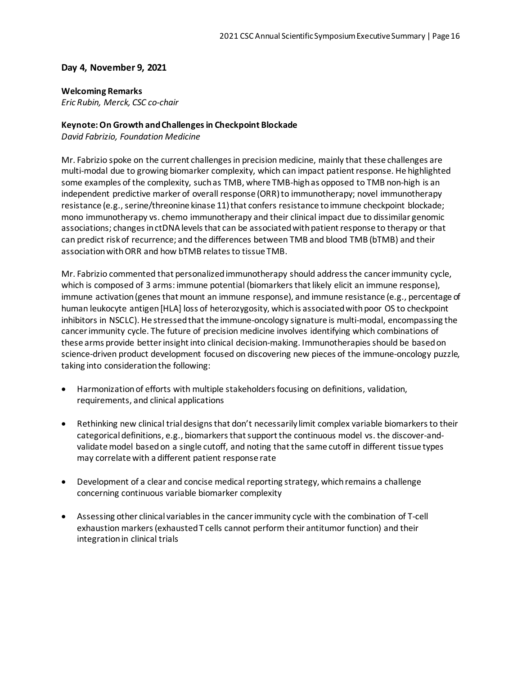#### **Day 4, November 9, 2021**

#### **Welcoming Remarks**

*Eric Rubin, Merck, CSC co-chair*

#### **Keynote: On Growth and Challenges in Checkpoint Blockade**

*David Fabrizio, Foundation Medicine*

Mr. Fabrizio spoke on the current challenges in precision medicine, mainly that these challenges are multi-modal due to growing biomarker complexity, which can impact patient response. He highlighted some examples of the complexity, such as TMB, where TMB-high as opposed to TMB non-high is an independent predictive marker of overall response (ORR) to immunotherapy; novel immunotherapy resistance (e.g., serine/threonine kinase 11) that confers resistance to immune checkpoint blockade; mono immunotherapy vs. chemo immunotherapy and their clinical impact due to dissimilar genomic associations; changes in ctDNA levels that can be associated with patient response to therapy or that can predict risk of recurrence; and the differences between TMB and blood TMB (bTMB) and their association with ORR and how bTMB relates to tissue TMB.

Mr. Fabrizio commented that personalized immunotherapy should address the cancer immunity cycle, which is composed of 3 arms: immune potential (biomarkers that likely elicit an immune response), immune activation (genes that mount an immune response), and immune resistance (e.g., percentage of human leukocyte antigen[HLA] loss of heterozygosity, which is associated with poor OS to checkpoint inhibitors in NSCLC). He stressed that the immune-oncology signature is multi-modal, encompassing the cancer immunity cycle. The future of precision medicine involves identifying which combinations of these arms provide better insight into clinical decision-making. Immunotherapies should be based on science-driven product development focused on discovering new pieces of the immune-oncology puzzle, taking into consideration the following:

- Harmonization of efforts with multiple stakeholders focusing on definitions, validation, requirements, and clinical applications
- Rethinking new clinical trial designs that don't necessarily limit complex variable biomarkers to their categorical definitions, e.g., biomarkers that support the continuous model vs. the discover-andvalidate model based on a single cutoff, and noting that the same cutoff in different tissue types may correlate with a different patient response rate
- Development of a clear and concise medical reporting strategy, which remains a challenge concerning continuous variable biomarker complexity
- Assessing other clinical variables in the cancer immunity cycle with the combination of T-cell exhaustion markers (exhausted T cells cannot perform their antitumor function) and their integration in clinical trials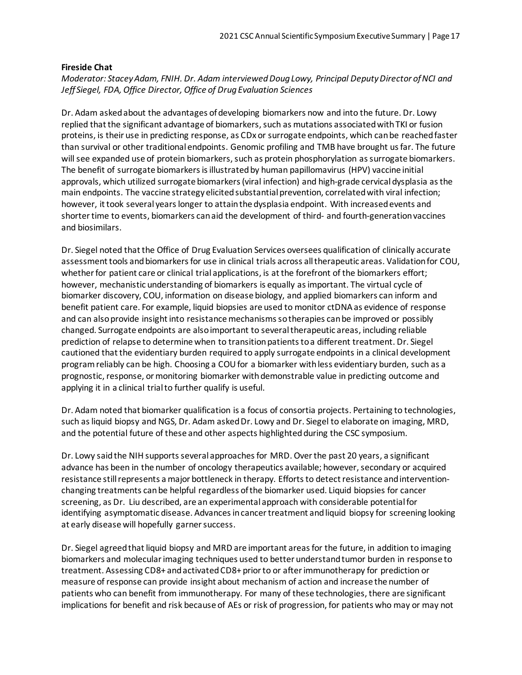#### **Fireside Chat**

*Moderator: Stacey Adam, FNIH. Dr. Adam interviewed Doug Lowy, Principal Deputy Director of NCI and Jeff Siegel, FDA, Office Director, Office of Drug Evaluation Sciences*

Dr. Adam asked about the advantages ofdeveloping biomarkers now and into the future. Dr. Lowy replied that the significant advantage of biomarkers, such as mutations associated with TKI or fusion proteins, is their use in predicting response, as CDx or surrogate endpoints, which can be reached faster than survival or other traditional endpoints. Genomic profiling and TMB have brought us far. The future will see expanded use of protein biomarkers, such as protein phosphorylation as surrogate biomarkers. The benefit of surrogate biomarkers is illustrated by human papillomavirus (HPV) vaccine initial approvals, which utilized surrogate biomarkers (viral infection) and high-grade cervical dysplasia as the main endpoints. The vaccine strategy elicited substantial prevention, correlated with viral infection; however, it took several years longer to attain the dysplasia endpoint. With increased events and shorter time to events, biomarkers can aid the development of third- and fourth-generation vaccines and biosimilars.

Dr. Siegel noted that the Office of Drug Evaluation Services oversees qualification of clinically accurate assessment tools and biomarkers for use in clinical trials across all therapeutic areas. Validation for COU, whether for patient care or clinical trial applications, is at the forefront of the biomarkers effort; however, mechanistic understanding of biomarkers is equally as important. The virtual cycle of biomarker discovery, COU, information on disease biology, and applied biomarkers can inform and benefit patient care. For example, liquid biopsies are used to monitor ctDNA as evidence of response and can also provide insight into resistance mechanisms so therapies can be improved or possibly changed. Surrogate endpoints are also important to several therapeutic areas, including reliable prediction of relapse to determine when to transition patients to a different treatment. Dr. Siegel cautioned that the evidentiary burden required to apply surrogate endpoints in a clinical development program reliably can be high. Choosing a COU for a biomarker with less evidentiary burden, such as a prognostic, response, or monitoring biomarker with demonstrable value in predicting outcome and applying it in a clinical trial to further qualify is useful.

Dr. Adam noted that biomarker qualification is a focus of consortia projects. Pertaining to technologies, such as liquid biopsy and NGS, Dr. Adam asked Dr. Lowy and Dr. Siegel to elaborate on imaging, MRD, and the potential future of these and other aspects highlighted during the CSC symposium.

Dr. Lowy said the NIH supports several approaches for MRD. Over the past 20 years, a significant advance has been in the number of oncology therapeutics available; however, secondary or acquired resistance still represents a major bottleneck in therapy. Efforts to detect resistance and interventionchanging treatments can be helpful regardless of the biomarker used. Liquid biopsies for cancer screening, as Dr. Liu described, are an experimental approach with considerable potential for identifying asymptomatic disease. Advances in cancer treatment and liquid biopsy for screening looking at early disease will hopefully garner success.

Dr. Siegel agreed that liquid biopsy and MRD are important areas for the future, in addition to imaging biomarkers and molecular imaging techniques used to better understand tumor burden in response to treatment. Assessing CD8+ and activated CD8+ prior to or after immunotherapy for prediction or measure of response can provide insight about mechanism of action and increase the number of patients who can benefit from immunotherapy. For many of these technologies, there are significant implications for benefit and risk because of AEs or risk of progression, for patients who may or may not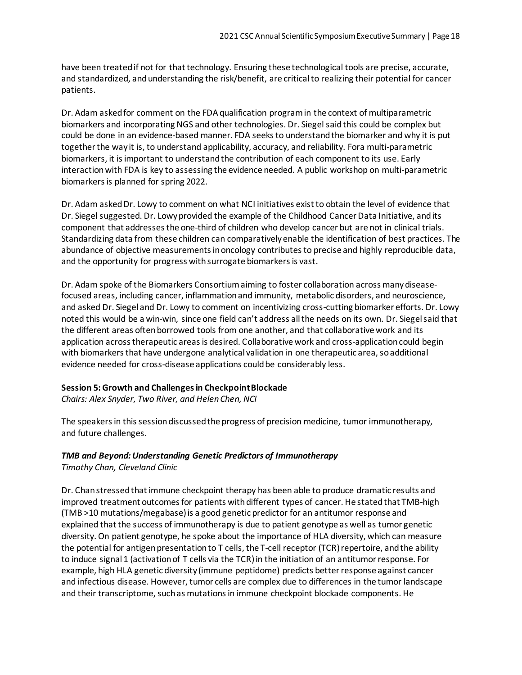have been treatedif not for that technology. Ensuring these technological tools are precise, accurate, and standardized, and understanding the risk/benefit, are critical to realizing their potential for cancer patients.

Dr. Adam asked for comment on the FDA qualification program in the context of multiparametric biomarkers and incorporating NGS and other technologies. Dr. Siegel said this could be complex but could be done in an evidence-based manner. FDA seeks to understand the biomarker and why it is put together the way it is, to understand applicability, accuracy, and reliability. Fora multi-parametric biomarkers, it is important to understand the contribution of each component to its use. Early interaction with FDA is key to assessing the evidence needed. A public workshop on multi-parametric biomarkersis planned for spring 2022.

Dr. Adam asked Dr. Lowy to comment on what NCI initiatives exist to obtain the level of evidence that Dr. Siegel suggested. Dr. Lowy provided the example of the Childhood Cancer Data Initiative, and its component that addresses the one-third of children who develop cancer but are not in clinical trials. Standardizing data from these children can comparatively enable the identification of best practices. The abundance of objective measurements in oncology contributes to precise and highly reproducible data, and the opportunity for progress with surrogate biomarkers is vast.

Dr. Adam spoke of the Biomarkers Consortium aiming to foster collaboration across many diseasefocused areas, including cancer, inflammation and immunity, metabolic disorders, and neuroscience, and asked Dr. Siegel and Dr. Lowy to comment on incentivizing cross-cutting biomarker efforts. Dr. Lowy noted this would be a win-win, since one field can't address all the needs on its own. Dr. Siegel said that the different areas often borrowed tools from one another, and that collaborative work and its application across therapeutic areas is desired. Collaborative work and cross-application could begin with biomarkers that have undergone analytical validation in one therapeutic area, so additional evidence needed for cross-disease applications could be considerably less.

#### **Session 5: Growth and Challenges in Checkpoint Blockade**

*Chairs: Alex Snyder, Two River, and Helen Chen, NCI*

The speakers in this session discussed the progress of precision medicine, tumor immunotherapy, and future challenges.

#### *TMB and Beyond: Understanding Genetic Predictors of Immunotherapy*

*Timothy Chan, Cleveland Clinic*

Dr. Chan stressed that immune checkpoint therapy has been able to produce dramatic results and improved treatment outcomes for patients with different types of cancer. He stated that TMB-high (TMB >10 mutations/megabase) is a good genetic predictor for an antitumor response and explained that the success of immunotherapy is due to patient genotype as well as tumor genetic diversity. On patient genotype, he spoke about the importance of HLA diversity, which can measure the potential for antigen presentation to T cells, the T-cell receptor (TCR) repertoire, and the ability to induce signal 1 (activation of T cells via the TCR) in the initiation of an antitumor response. For example, high HLA genetic diversity (immune peptidome) predicts better response against cancer and infectious disease. However, tumor cells are complex due to differences in the tumor landscape and their transcriptome, such as mutations in immune checkpoint blockade components. He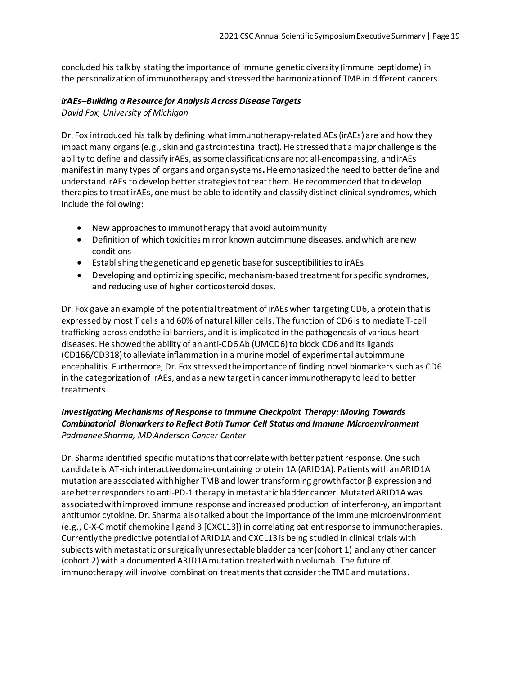concluded his talk by stating the importance of immune genetic diversity (immune peptidome) in the personalization of immunotherapy and stressed the harmonization of TMB in different cancers.

### *irAEs─Building a Resource for Analysis Across Disease Targets*

*David Fox, University of Michigan*

Dr. Fox introduced his talk by defining what immunotherapy-related AEs (irAEs) are and how they impact many organs (e.g., skin and gastrointestinaltract). He stressed that a major challenge is the ability to define and classify irAEs, as some classifications are not all-encompassing, and irAEs manifest in many types of organs and organ systems**.** He emphasized the need to better define and understand irAEs to develop better strategies to treat them. He recommended that to develop therapies to treat irAEs, one must be able to identify and classify distinct clinical syndromes, which include the following:

- New approaches to immunotherapy that avoid autoimmunity
- Definition of which toxicities mirror known autoimmune diseases, and which are new conditions
- Establishing the genetic and epigenetic base for susceptibilities to irAEs
- Developing and optimizing specific, mechanism-based treatment for specific syndromes, and reducing use of higher corticosteroid doses.

Dr. Fox gave an example of the potential treatment of irAEs when targeting CD6, a protein that is expressed by most T cells and 60% of natural killer cells. The function of CD6 is to mediate T-cell trafficking across endothelial barriers, and it is implicated in the pathogenesis of various heart diseases. He showed the ability of an anti-CD6 Ab (UMCD6) to block CD6 and its ligands (CD166/CD318) to alleviate inflammation in a murine model of experimental autoimmune encephalitis. Furthermore, Dr. Fox stressedthe importance of finding novel biomarkers such as CD6 in the categorization of irAEs, and as a new target in cancer immunotherapy to lead to better treatments.

# *Investigating Mechanisms of Response to Immune Checkpoint Therapy: Moving Towards Combinatorial Biomarkers to Reflect Both Tumor Cell Status and Immune Microenvironment Padmanee Sharma, MD Anderson Cancer Center*

Dr. Sharma identified specific mutations that correlate with better patient response. One such candidate is AT-rich interactive domain-containing protein 1A (ARID1A). Patients with an ARID1A mutation are associated with higher TMB and lower transforming growth factor β expression and are better responders to anti-PD-1 therapy in metastatic bladder cancer. Mutated ARID1A was associated withimproved immune response and increased production of interferon-γ, an important antitumor cytokine. Dr. Sharma also talked about the importance of the immune microenvironment (e.g., C-X-C motif chemokine ligand 3 [CXCL13]) in correlating patient response to immunotherapies. Currently the predictive potential of ARID1A and CXCL13 is being studied in clinical trials with subjects with metastatic or surgically unresectable bladder cancer (cohort 1) and any other cancer (cohort 2) with a documented ARID1A mutation treated with nivolumab. The future of immunotherapy will involve combination treatments that consider the TME and mutations.